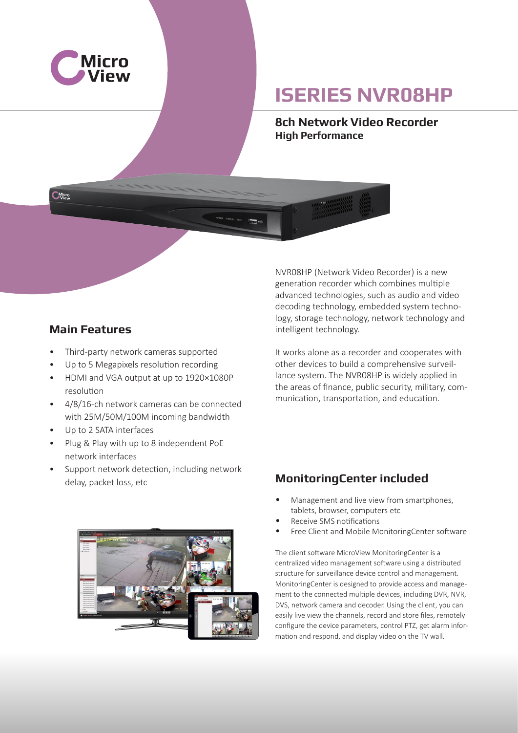

**CMicro** 

# **ISERIES NVR08HP**

**8ch Network Video Recorder High Performance**

#### **Main Features**

- Third-party network cameras supported
- Up to 5 Megapixels resolution recording
- HDMI and VGA output at up to 1920×1080P resolution
- 4/8/16-ch network cameras can be connected with 25M/50M/100M incoming bandwidth
- Up to 2 SATA interfaces
- Plug & Play with up to 8 independent PoE network interfaces
- Support network detection, including network delay, packet loss, etc

NVR08HP (Network Video Recorder) is a new generation recorder which combines multiple advanced technologies, such as audio and video decoding technology, embedded system technology, storage technology, network technology and intelligent technology.

It works alone as a recorder and cooperates with other devices to build a comprehensive surveillance system. The NVR08HP is widely applied in the areas of finance, public security, military, communication, transportation, and education.

### **MonitoringCenter included**

- Management and live view from smartphones, tablets, browser, computers etc
- Receive SMS notifications
- Free Client and Mobile MonitoringCenter software

The client software MicroView MonitoringCenter is a centralized video management software using a distributed structure for surveillance device control and management. MonitoringCenter is designed to provide access and management to the connected multiple devices, including DVR, NVR, DVS, network camera and decoder. Using the client, you can easily live view the channels, record and store files, remotely configure the device parameters, control PTZ, get alarm information and respond, and display video on the TV wall.